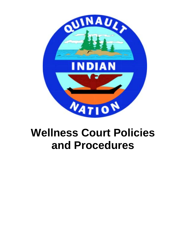

## <span id="page-0-0"></span>**Wellness Court Policies and Procedures**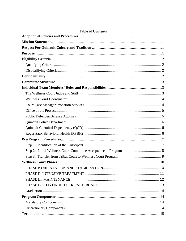#### **Table of Contents**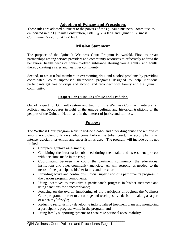## **Adoption of Policies and Procedures**

<span id="page-3-0"></span>These rules are adopted pursuant to the powers of the Quinault Business Committee, as enunciated in the Quinault Constitution, Title 5 § 5.04.070, and Quinault Business Committee Resolution # 12-41-91.

## **Mission Statement**

<span id="page-3-1"></span>The purpose of the Quinault Wellness Court Program is twofold. First, to create partnerships among service providers and community resources to effectively address the behavioral health needs of court-involved substance abusing young adults, and adults; thereby creating a safer and healthier community.

Second, to assist tribal members in overcoming drug and alcohol problems by providing coordinated, court supervised therapeutic programs designed to help individual participants get free of drugs and alcohol and reconnect with family and the Quinault community.

#### **Respect For Quinault Culture and Tradition**

<span id="page-3-2"></span>Out of respect for Quinault custom and tradition, the Wellness Court will interpret all Policies and Procedures in light of the unique cultural and historical traditions of the peoples of the Quinault Nation and in the interest of justice and fairness.

## **Purpose**

<span id="page-3-3"></span>The Wellness Court program seeks to reduce alcohol and other drug abuse and recidivism among nonviolent offenders who come before the tribal court. To accomplish this, intense judicial intervention and supervision is used. The program will include but is not limited to:

- Completing intake assessments;
- Combining the information obtained during the intake and assessment process with decisions made in the case;
- Coordinating between the court, the treatment community, the educational institutions and other community agencies. All will respond, as needed, to the needs of the participant, his/her family and the court;
- Providing active and continuous judicial supervision of a participant's progress in the various program components;
- Using incentives to recognize a participant's progress in his/her treatment and using sanctions for noncompliance;
- Focusing on the overall functioning of the participant throughout the Wellness Court program, in order to encourage and teach positive decision-making as a part of a healthy lifestyle;
- Reducing recidivism by developing individualized treatment plans and monitoring a participant's progress while in the program; and
- Using family supporting systems to encourage personal accountability.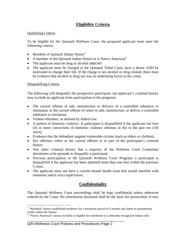## **Eligibility Criteria**

#### <span id="page-4-1"></span><span id="page-4-0"></span>Qualifying Criteria

To be eligible for the Quinault Wellness Court, the proposed applicant must meet the following criteria:

- Resident of Quinault Indian Nation<sup>[1](#page-0-0)</sup>
- A member of the Quinault Indian Nation or is Native American<sup>[2](#page-4-4)</sup>
- The applicant must be drug or alcohol addicted
- The applicant must be charged in the Quinault Tribal Court, have a desire AND be motivated to change their life. If the charge is not alcohol or drug related, there must be evidence that alcohol or drug use was an underlying factor in the crime.

#### <span id="page-4-2"></span>Disqualifying Criteria

The following will disqualify the prospective participant: (an applicant's criminal history may exclude an applicant from participation in the program).

- The current offense of sale, manufacture or delivery of a controlled substance or marijuana; or the current offense of intent to sale, manufacture, or deliver a controlled substance or marijuana
- Violent offenders, as defined by federal law
- A pattern of domestic violence. A participant is disqualified if the applicant has four (4) or more convictions of domestic violence offenses in the in the past ten (10) years)
- Evidence that the defendant targeted vulnerable victims (such as elders or children)
- Sex offenses, either as the current offense or as part of the participant's criminal history
- Any other criminal history that a majority of the Wellness Court Committee determines to be grounds to disqualify a participant
- Previous participation in the Quinault Wellness Court Program; a participant is disqualified if the applicant has been admitted more than one time within the previous 5 years.
- The applicant must not have a current mental health issue that would interfere with treatment and/or strict supervision.

## **Confidentiality**

<span id="page-4-3"></span>The Quinault Wellness Court proceedings shall be kept confidential unless otherwise ordered by the Court. No information disclosed shall be the basis for prosecution of new

\_\_\_\_\_\_\_\_\_\_\_\_\_\_\_\_\_\_\_\_\_\_\_\_\_\_\_\_\_\_\_\_\_\_\_\_\_\_\_\_\_\_\_\_\_\_\_\_

<sup>&</sup>lt;sup>1</sup> "Resident" means established residence for a minimum period of 6 months and intent to permanently reside within the Nation.

<span id="page-4-4"></span><sup>&</sup>lt;sup>2</sup> "Native American" means enrolled or eligible for enrollment in a federally recognized Indian tribe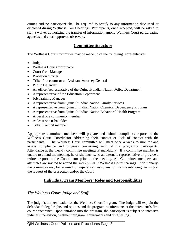crimes and no participant shall be required to testify to any information discussed or disclosed during Wellness Court hearings. Participants, once accepted, will be asked to sign a waiver authorizing the transfer of information among Wellness Court participating agencies and court-approved observers.

## **Committee Structure**

<span id="page-5-0"></span>The Wellness Court Committee may be made up of the following representatives:

- Judge
- Wellness Court Coordinator
- Court Case Manager
- Probation Officer
- Tribal Prosecutor or an Assistant Attorney General
- Public Defender
- An officer/representative of the Quinault Indian Nation Police Department
- A representative of the Education Department
- Job Training Manager
- A representative from Quinault Indian Nation Family Services
- A representative from Quinault Indian Nation Chemical Dependency Program
- A representative from Quinault Indian Nation Behavioral Health Program
- At least one community member
- At least one tribal elder
- Tribal Council member

Appropriate committee members will prepare and submit compliance reports to the Wellness Court Coordinator addressing their contact or lack of contact with the participants. The Wellness Court committee will meet once a week to monitor and assess compliance and progress concerning each of the program's participants. Attendance at the weekly committee meetings is mandatory. If a committee member is unable to attend the meeting, he or she must send an alternate representative or provide a written report to the Coordinator prior to the meeting. All Committee members and alternates are invited to attend the weekly Adult Wellness Court hearings. Additionally, the committee may be required to prepare wellness plans for use in sentencing hearings at the request of the prosecutor and/or the Court.

## **Individual Team Members' Roles and Responsibilities**

## <span id="page-5-2"></span><span id="page-5-1"></span>*The Wellness Court Judge and Staff*

The judge is the key leader for the Wellness Court Program. The Judge will explain the defendant's legal rights and options and the program requirements at the defendant's first court appearance. Upon entrance into the program, the participant is subject to intensive judicial supervision, treatment program requirements and drug testing.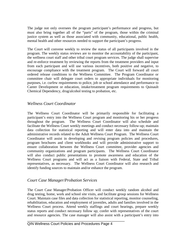The judge not only oversees the program participant's performance and progress, but must also bring together all of the "parts" of the program, those within the criminal justice system as well as those associated with community, educational, public health, mental health and other resources needed to support the participant's progress.

The Court will convene weekly to review the status of all participants involved in the program. The weekly status reviews are to monitor the accountability of the participant, the wellness court staff and other tribal court program services. The judge shall supervise and re-enforce treatment by reviewing the reports from the treatment providers and input from each participant and will use various incentives, both positive and negative, to encourage compliance with the treatment program. The Court will forward all court ordered release conditions to the Wellness Committee. The Program Coordinator or committee chair will delegate court orders to appropriate individuals for monitoring purposes, i.e. curfew requirements to police, job or school attendance and performance to Career Development or education, intake/treatment program requirements to Quinault Chemical Dependency, drug/alcohol testing to probation, etc.

### <span id="page-6-0"></span>*Wellness Court Coordinator*

The Wellness Court Coordinator will be primarily responsible for facilitating a participant's entry into the Wellness Court program and monitoring his or her progress throughout the program. The Wellness Court Coordinator will also schedule and facilitate the Wellness Court weekly meetings and conduct necessary follow-up; maintain data collection for statistical reporting and will enter data into and maintain the administrative records related to the Adult Wellness Court Program. The Wellness Court Coordinator will assist in developing and revising program policies and procedures, program brochures and client workbooks and will provide administrative support to ensure collaboration between the Wellness Court committee, provider agencies and community organizations and program participants. The Wellness Court Coordinator will also conduct public presentations to promote awareness and education of the Wellness Court programs and will act as a liaison with Federal, State and Tribal representatives, as necessary. The Wellness Court Coordinator will also research and identify funding sources to maintain and/or enhance the program.

#### <span id="page-6-1"></span>*Court Case Manager/Probation Services*

The Court Case Manager/Probation Officer will conduct weekly random alcohol and drug testing, home, work and school site visits, and facilitate group sessions for Wellness Court. Maintain case files and data collection for statistical reporting, monitor counseling, rehabilitation, education and employment of juveniles, adults and families involved in the Wellness Court process. Attend weekly staffings and court hearings, prepare weekly status reports and conduct necessary follow up; confer with representatives of the court and resource agencies. The case manager will also assist with a participant's entry into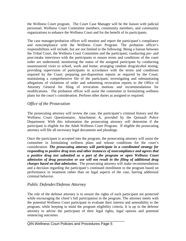the Wellness Court program. The Court Case Manager will be the liaison with judicial personnel, Wellness Court Committee members, community members, and community organizations to enhance the Wellness Court and for the benefit of its participants.

The case manager/probation officer will monitor and report the participant's compliance and noncompliance with the Wellness Court Program. The probation officer's responsibilities will include, but are not limited to the following: Being a liaison between the Tribal Court, the Wellness Court Committee and the participant; conducting pre- and post-intake interviews with the participants to ensure terms and conditions of the court order are understood; monitoring the status of the assigned participant by conducting unannounced visits to school, work and home; arranging random drug/alcohol testing; providing supervision of participants in accordance with the terms and conditions required by the Court; preparing pre-disposition reports as required by the Court; maintaining a comprehensive file of the participant; investigating and substantiating allegations of violations of order and submitting revocation reports to the Office of Attorney General for filing of revocation motions and recommendations for modifications. The probation officer will assist the committee in formulating wellness plans for the court's consideration. Perform other duties as assigned or required.

## <span id="page-7-0"></span>*Office of the Prosecution*

The prosecuting attorney will review the case, the participant's criminal history and the Wellness Court Questionnaire, Attachment A, provided by the Quinault Police Department. With this information the prosecuting attorney will determine if the participant is eligible for the Adult Wellness Court Program. If eligible the prosecuting attorney will file all necessary legal documents and pleadings.

Once the participant is accepted into the program, the prosecuting attorney will assist the committee in formulating wellness plans and release conditions for the court's consideration. *The prosecuting attorney will participate in a coordinated strategy for responding to positive drug tests and other instances of noncompliance and agrees that a positive drug test submitted as a part of the program or open Wellness Court admission of drug possession or use will not result in the filing of additional drug charges based on that admission.* The prosecuting attorney will make recommendations and a decision regarding the participant's continued enrollment in the program based on performance in treatment rather than on legal aspects of the case, barring additional criminal behavior.

## <span id="page-7-1"></span>*Public Defender/Defense Attorney*

The role of the defense attorney is to ensure the rights of each participant are protected while encouraging the client's full participation in the program. The attorney meets with the potential Wellness Court participant to evaluate their interest and amenability to the program, while keeping in mind the program eligibility criteria. It is up to the defense attorney to advise the participant of their legal rights, legal options and potential sentencing outcomes.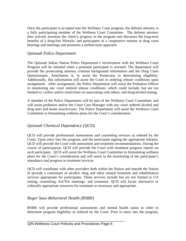Once the participant is accepted into the Wellness Court program, the defense attorney is a fully participating member of the Wellness Court Committee. The defense attorney then actively monitors the client's progress in the program and discusses the long-term benefits of a drug-free lifestyle; and participates in a cooperative manner at drug court hearings and meetings and promotes a unified team approach.

## <span id="page-8-0"></span>*Quinault Police Department*

The Quinault Indian Nation Police Department's involvement with the Wellness Court Program will be initiated when a potential participant is arrested. The department will provide the prosecuting attorney criminal background information and the Drug Court Questionnaire, Attachment A, to assist the Prosecutor in determining eligibility. Additionally, this information will assist the Court in ordering release conditions upon arraignment. After arraignment, the Police Department will assist the Probation Officer in monitoring any court ordered release conditions; which could include, but are not limited to: curfew and/or restrictions on associating with others, and drug/alcohol testing.

A member of the Police Department will be part of the Wellness Court Committee; and will assist probation and/or the Court Case Manager with any court ordered alcohol and drug tests and home search/visits. The Police Department will assist the Wellness Court Committee in formulating wellness plans for the Court's consideration.

## <span id="page-8-1"></span>*Quinault Chemical Dependency (QCD)*

QCD will provide professional assessments and counseling services as ordered by the Court. Upon entry into the program, and the participant signing the appropriate releases, QCD will provide the Court with assessment and treatment recommendations. During the course of participation, QCD will provide the Court with treatment progress reports on each participant. QCD will assist the Wellness Court Committee in formulating wellness plans for the Court's consideration and will assist in the monitoring of the participant's attendance and progress in treatment services.

QCD will coordinate with other providers both within the Nation and outside the Nation to provide a continuum of alcohol, drug and other related treatment and rehabilitation services appropriate for participants. These services include but are not limited to UA testing, counseling, AA/NA meetings, and treatment. QCD will locate alternative or culturally appropriate resources for treatment as necessary and appropriate.

### <span id="page-8-2"></span>*Roger Saux Behavioral Health (RSBH)*

RSBH will provide professional assessments and mental health status in order to determine program eligibility as ordered by the Court. Prior to entry into the program,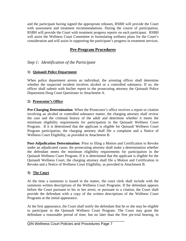and the participant having signed the appropriate releases, RSBH will provide the Court with assessment and treatment recommendations. During the course of participation, RSBH will provide the Court with treatment progress reports on each participant. RSBH will assist the Wellness Court Committee in formulating wellness plans for the Court's consideration and will assist in supporting the participant's progress in treatment services.

## **Pre-Program Procedures**

## <span id="page-9-1"></span><span id="page-9-0"></span>*Step 1: Identification of the Participant*

#### **1) Quinault Police Department**

When police department arrests an individual, the arresting officer shall determine whether the suspected incident involves alcohol or a controlled substance. If so, the officer shall submit with his/her report to the prosecuting attorney the Quinault Police Department Drug Court Questioner in Attachment A.

#### **2) Prosecutor's Office**

**Pre-Charging Determination**: When the Prosecutor's office receives a report or citation involving an alcohol or controlled substance matter, the charging attorney shall review the case and the criminal history of the adult and determine whether it meets the minimum eligibility requirements for participation in the Quinault Wellness Court Program. If it is determined that the applicant is eligible for Quinault Wellness Court Program participation, the charging attorney shall file a complaint and a Notice of Wellness Court Eligibility, as provided in Attachment B.

**Post-Adjudication Determination**: Prior to filing a Motion and Certification to Revoke under an adjudicated cause, the prosecuting attorney shall make a determination whether the defendant meets the minimum eligibility requirements for participation in the Quinault Wellness Court Program. If it is determined that the applicant is eligible for the Quinault Wellness Court, the charging attorney shall file a Motion and Certification to Revoke and a Notice of Wellness Court Eligibility, as provided in Attachment B.

#### **3) The Court**

At the time a summons is issued in the matter, the court clerk shall include with the summons written descriptions of the Wellness Court Programs. If the defendant appears before the Court pursuant to his or her arrest, or pursuant to a citation, the Court shall provide the defendant with a copy of the written descriptions of the Wellness Court Programs at the initial appearance.

At the first appearance, the Court shall notify the defendant that he or she may be eligible to participate in the Quinault Wellness Court Program. The Court may grant the defendant a reasonable period of time, but no later than the first pre-trial hearing, to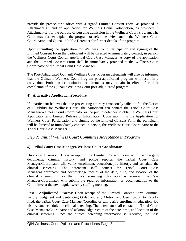provide the prosecutor's office with a signed Limited Consent Form, as provided in Attachment C, and an application for Wellness Court Participation, as provided in Attachment E, for the purpose of pursuing admission in the Wellness Court Program. The Court may further explain the program or refer the defendant to the Wellness Court Coordinator, and Quinault Public Defender for further details of the program.

Upon submitting the application for Wellness Court Participation and signing of the Limited Consent Form the participant will be directed to immediately contact, in person, the Wellness Court Coordinator/Tribal Court Case Manager. A copy of the application and the Limited Consent Form shall be immediately provided to the Wellness Court Coordinator or the Tribal Court Case Manager.

The Post-Adjudicated Quinault Wellness Court Program defendants will also be informed that the Quinault Wellness Court Program post-adjudicated program will result in a conviction. Probation or restitution requirements may remain in effect after their completion of the Quinault Wellness Court post-adjudicated program.

#### **4) Alternative Application Procedure**

If a participant believes that the prosecuting attorney erroneously failed to file the Notice of Eligibility for Wellness Court, the participant can contact the Tribal Court Case Manager/Wellness Court Coordinator or the public defender to obtain a Wellness Court Application and Limited Release of Information. Upon submitting the Application for Wellness Court Participation and signing of the Limited Consent Form the participant will be directed to immediately contact, in person, the Wellness Court Coordinator or the Tribal Court Case Manager.

### <span id="page-10-0"></span>*Step 2: Initial Wellness Court Committee Acceptance in Program*

### **5) Tribal Court Case Manager/Wellness Court Coordinator**

**Diversion Process:** Upon receipt of the Limited Consent Form with the charging documents, criminal history, and police reports, the Tribal Court Case Manager/Coordinator will verify enrollment, education, job history, and schedule the clinical screening. The defendant shall contact the Tribal Court Case Manager/Coordinator and acknowledge receipt of the date, time, and location of the clinical screening. Once the clinical screening information is received, the Case Manager/Coordinator will submit the required information or documentation to the Committee at the next regular weekly staffing meeting.

**Post - Adjudicated Process**: Upon receipt of the Limited Consent Form, criminal history, Judgment and Sentencing Order and any Motion and Certification to Revoke filed, the Tribal Court Case Manager/Coordinator will verify enrollment, education, job history, and schedule the clinical screening. The defendant shall contact the Tribal Court Case Manager/Coordinator and acknowledge receipt of the date, time, and location of the clinical screening. Once the clinical screening information is received, the Case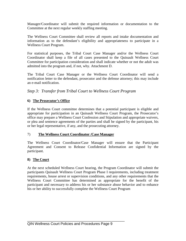Manager/Coordinator will submit the required information or documentation to the Committee at the next regular weekly staffing meeting.

The Wellness Court Committee shall review all reports and intake documentation and information as to the defendant's eligibility and appropriateness to participate in a Wellness Court Program.

For statistical purposes, the Tribal Court Case Manager and/or the Wellness Court Coordinator shall keep a file of all cases presented to the Quinault Wellness Court Committee for participation consideration and shall indicate whether or not the adult was admitted into the program and, if not, why. Attachment D.

The Tribal Court Case Manager or the Wellness Court Coordinator will send a notification letter to the defendant, prosecutor and the defense attorney; this may include an e-mail notification.

## <span id="page-11-0"></span>*Step 3: Transfer from Tribal Court to Wellness Court Program*

#### **6) The Prosecutor's Office**

If the Wellness Court committee determines that a potential participant is eligible and appropriate for participation in an Quinault Wellness Court Program, the Prosecutor's office may prepare a Wellness Court Confession and Stipulation and appropriate waivers, or plea and sentence agreements of the parties and shall be signed by the participant, his or her legal representative, if any, and the prosecuting attorney.

#### 7) **The Wellness Court Coordinator /Case Manager**

The Wellness Court Coordinator/Case Manager will ensure that the Participant Agreement and Consent to Release Confidential Information are signed by the participant.

#### **8) The Court**

At the next scheduled Wellness Court hearing, the Program Coordinator will submit the participants Quinault Wellness Court Program Phase I requirements, including treatment requirements, house arrest or supervision conditions, and any other requirements that the Wellness Court Committee has determined as appropriate for the benefit of the participant and necessary to address his or her substance abuse behavior and to enhance his or her ability to successfully complete the Wellness Court Program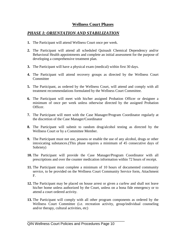## **Wellness Court Phases**

## <span id="page-12-1"></span><span id="page-12-0"></span>*PHASE I: ORIENTATION AND STABILIZATION*

- **1.** The Participant will attend Wellness Court once per week.
- **2.** The Participant will attend all scheduled Quinault Chemical Dependency and/or Behavioral Health appointments and complete an initial assessment for the purpose of developing a comprehensive treatment plan.
- **3.** The Participant will have a physical exam (medical) within first 30 days.
- **4.** The Participant will attend recovery groups as directed by the Wellness Court Committee
- **5.** The Participant, as ordered by the Wellness Court, will attend and comply with all treatment recommendations formulated by the Wellness Court Committee.
- **6.** The Participant will meet with his/her assigned Probation Officer or designee a minimum of once per week unless otherwise directed by the assigned Probation Officer.
- **7.** The Participant will meet with the Case Manager/Program Coordinator regularly at the discretion of the Case Manager/Coordinator
- **8.** The Participant will submit to random drug/alcohol testing as directed by the Wellness Court or by a Committee Member.
- **9.** The Participant must not use, possess or enable the use of any alcohol, drugs or other intoxicating substances.(This phase requires a minimum of 45 consecutive days of Sobriety)
- **10.** The Participant will provide the Case Manager/Program Coordinator with all prescriptions and over the counter medication information within 72 hours of receipt.
- **11.** The Participant must complete a minimum of 10 hours of documented community service, to be provided on the Wellness Court Community Service form, Attachment F.
- **12.** The Participant may be placed on house arrest or given a curfew and shall not leave his/her home unless authorized by the Court, unless on a bona fide emergency or to attend a court ordered activity.
- **13.** The Participant will comply with all other program components as ordered by the Wellness Court Committee (i.e. recreation activity, group/individual counseling and/or therapy, cultural activities, etc)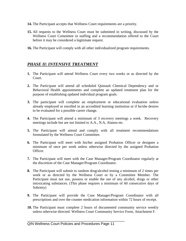- **14.** The Participant accepts that Wellness Court requirements are a priority.
- **15.** All requests to the Wellness Court must be submitted in writing, discussed by the Wellness Court Committee in staffing and a recommendation offered to the Court before it may be considered a legitimate request.
- **16.** The Participant will comply with all other individualized program requirements.

## <span id="page-13-0"></span>*PHASE II: INTENSIVE TREATMENT*

- **1.** The Participant will attend Wellness Court every two weeks or as directed by the Court.
- **2.** The Participant will attend all scheduled Quinault Chemical Dependency and or Behavioral Health appointments and complete an updated treatment plan for the purpose of establishing updated individual program goals.
- **3.** The participant will complete an employment or educational evaluation unless already employed or enrolled in an accredited learning institution or if he/she desires to be evaluated for a possible career change.
- **4.** The Participant will attend a minimum of 3 recovery meetings a week. Recovery meetings include but are not limited to A.A., N.A, Alanon etc.
- **5.** The Participant will attend and comply with all treatment recommendations formulated by the Wellness Court Committee.
- **6.** The Participant will meet with his/her assigned Probation Officer or designee a minimum of once per week unless otherwise directed by the assigned Probation Officer.
- **7.** The Participant will meet with the Case Manager/Program Coordinator regularly at the discretion of the Case Manager/Program Coordinator.
- **8.** The Participant will submit to random drug/alcohol testing a minimum of 2 times per week or as directed by the Wellness Court or by a Committee Member. The Participant must not use, possess or enable the use of any alcohol, drugs or other intoxicating substances. (This phase requires a minimum of 60 consecutive days of Sobriety)
- **9.** The Participant will provide the Case Manager/Program Coordinator with all prescriptions and over the counter medication information within 72 hours of receipt.
- **10.** The Participant must complete 2 hours of documented community service weekly unless otherwise directed. Wellness Court Community Service Form, Attachment F.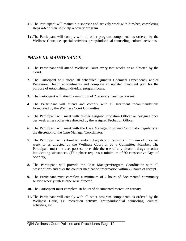- **11.** The Participant will maintain a sponsor and actively work with him/her, completing steps 4-6 of their self-help recovery program.
- **12.**The Participant will comply with all other program components as ordered by the Wellness Court; i.e. special activities, group/individual counseling, cultural activities.

## <span id="page-14-0"></span>*PHASE III: MAINTENANCE*

- **1.** The Participant will attend Wellness Court every two weeks or as directed by the Court.
- **2.** The Participant will attend all scheduled Quinault Chemical Dependency and/or Behavioral Health appointments and complete an updated treatment plan for the purpose of establishing individual program goals.
- **3.** The Participant will attend a minimum of 2 recovery meetings a week.
- **4.** The Participant will attend and comply with all treatment recommendations formulated by the Wellness Court Committee.
- **5.** The Participant will meet with his/her assigned Probation Officer or designee once per week unless otherwise directed by the assigned Probation Officer.
- **6.** The Participant will meet with the Case Manager/Program Coordinator regularly at the discretion of the Case Manager/Coordinator.
- **7.** The Participant will submit to random drug/alcohol testing a minimum of once per week or as directed by the Wellness Court or by a Committee Member. The Participant must not use, possess or enable the use of any alcohol, drugs or other intoxicating substances. (This phase requires a minimum of 90 consecutive days of Sobriety)
- **8.** The Participant will provide the Case Manager/Program Coordinator with all prescriptions and over the counter medication information within 72 hours of receipt.
- **9.** The Participant must complete a minimum of 2 hours of documented community service weekly unless otherwise directed.
- **10.** The Participant must complete 10 hours of documented recreation activity.
- **11.** The Participant will comply with all other program components as ordered by the Wellness Court, i.e. recreation activity, group/individual counseling, cultural activities, etc.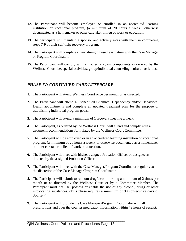- **12.** The Participant will become employed or enrolled in an accredited learning institution or vocational program, (a minimum of 20 hours a week), otherwise documented as a homemaker or other caretaker in lieu of work or education.
- **13.** The participant will maintain a sponsor and actively work with them in completing steps 7-9 of their self-help recovery program.
- **14.** The Participant will complete a new strength based evaluation with the Case Manager or Program Coordinator.
- **15.** The Participant will comply with all other program components as ordered by the Wellness Court; i.e. special activities, group/individual counseling, cultural activities.

## <span id="page-15-0"></span>*PHASE IV: CONTINUED CARE/AFTERCARE*

- **1.** The Participant will attend Wellness Court once per month or as directed.
- **2.** The Participant will attend all scheduled Chemical Dependency and/or Behavioral Health appointments and complete an updated treatment plan for the purpose of establishing individual program goals.
- **3.** The Participant will attend a minimum of 1 recovery meeting a week.
- **4.** The Participant, as ordered by the Wellness Court, will attend and comply with all treatment recommendations formulated by the Wellness Court Committee.
- **5.** The Participant will be employed or in an accredited learning institution or vocational program, (a minimum of 20 hours a week), or otherwise documented as a homemaker or other caretaker in lieu of work or education.
- **6.** The Participant will meet with his/her assigned Probation Officer or designee as directed by the assigned Probation Officer.
- **7.** The Participant will meet with the Case Manager/Program Coordinator regularly at the discretion of the Case Manager/Program Coordinator
- **8.** The Participant will submit to random drug/alcohol testing a minimum of 2 times per month or as directed by the Wellness Court or by a Committee Member. The Participant must not use, possess or enable the use of any alcohol, drugs or other intoxicating substances. (This phase requires a minimum of 90 consecutive days of Sobriety)
- **9.** The Participant will provide the Case Manager/Program Coordinator with all prescriptions and over the counter medication information within 72 hours of receipt.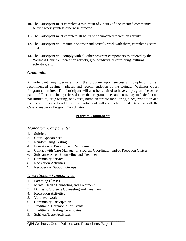- **10.** The Participant must complete a minimum of 2 hours of documented community service weekly unless otherwise directed.
- **11.** The Participant must complete 10 hours of documented recreation activity.
- **12.** The Participant will maintain sponsor and actively work with them, completing steps 10-12.
- **13.** The Participant will comply with all other program components as ordered by the Wellness Court i.e. recreation activity, group/individual counseling, cultural activities, etc.

## <span id="page-16-0"></span>*Graduation*

A Participant may graduate from the program upon successful completion of all recommended treatment phases and recommendation of the Quinault Wellness Court Program committee. The Participant will also be required to have all program fees/costs paid in full prior to being released from the program. Fees and costs may include, but are not limited to, drug testing, book fees, home electronic monitoring, fines, restitution and incarceration costs. In addition, the Participant will complete an exit interview with the Case Manager or Program Coordinator.

#### **Program Components**

#### <span id="page-16-2"></span><span id="page-16-1"></span>*Mandatory Components:*

- 1. Sobriety
- 2. Court Appearances
- 3. Random Drug Testing
- 4. Education or Employment Requirements
- 5. Contact with Case Manager or Program Coordinator and/or Probation Officer
- 6. Substance Abuse Counseling and Treatment
- 7. Community Service
- 8. Recreation Activities
- 9. Recovery or Support Groups

#### <span id="page-16-3"></span>*Discretionary Components:*

- 1. Parenting Classes
- 2. Mental Health Counseling and Treatment
- 3. Domestic Violence Counseling and Treatment
- 4. Recreation Activities
- 5. Volunteer work
- 6. Community Participation
- 7. Traditional Ceremonies or Events
- 8. Traditional Healing Ceremonies
- 9. Spiritual/Hope Activities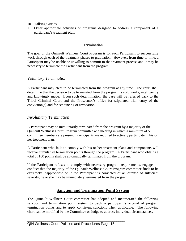- 10. Talking Circles
- 11. Other appropriate activities or programs designed to address a component of a participant's treatment plan.

#### **Termination**

<span id="page-17-0"></span>The goal of the Quinault Wellness Court Program is for each Participant to successfully work through each of the treatment phases to graduation. However, from time to time, a Participant may be unable or unwilling to commit to the treatment process and it may be necessary to terminate the Participant from the program.

#### <span id="page-17-1"></span>*Voluntary Termination*

A Participant may elect to be terminated from the program at any time. The court shall determine that the decision to be terminated from the program is voluntarily, intelligently and knowingly made. Upon such determination, the case will be referred back to the Tribal Criminal Court and the Prosecutor's office for stipulated trial, entry of the conviction(s) and for sentencing or revocation.

#### <span id="page-17-2"></span>*Involuntary Termination*

A Participant may be involuntarily terminated from the program by a majority of the Quinault Wellness Court Program committee at a meeting in which a minimum of 5 committee members are present. Participants are required to actively participate in his or her treatment plan.

A Participant who fails to comply with his or her treatment plans and components will receive cumulative termination points through the program. A Participant who obtains a total of 100 points shall be automatically terminated from the program.

If the Participant refuses to comply with necessary program requirements, engages in conduct that the majority of the Quinault Wellness Court Program committee finds to be extremely inappropriate or if the Participant is convicted of an offense of sufficient severity, he or she may be immediately terminated from the program.

## **Sanction and Termination Point System**

<span id="page-17-3"></span>The Quinault Wellness Court committee has adopted and incorporated the following sanction and termination point system to track a participant's accrual of program termination points and to apply consistent sanctions when applicable. The following chart can be modified by the Committee or Judge to address individual circumstances.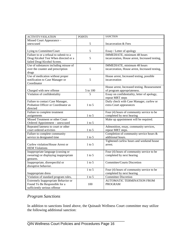| <b>ACTIVITY/VIOLATION</b>              | <b>POINTS</b> | <b>SANCTION</b>                                 |
|----------------------------------------|---------------|-------------------------------------------------|
| Missed Court Appearance -              |               |                                                 |
| unexcused                              | 5             | Incarceration & Fees                            |
|                                        |               |                                                 |
| Lying to Committee/Court               | 5             | Essay / Letter of apology                       |
| Failure to or a refusal to submit to a |               | <b>IMMEDIATE</b> , minimum 48 hours             |
| Drug/Alcohol Test When directed or a   | 5             | incarceration, House arrest, Increased testing, |
| failed Drug/Alcohol Screen.            |               |                                                 |
| Use of substances including misuse of  |               | IMMEDIATE, minimum 48 hours                     |
| over the counter and prescription      | 5             | incarceration, House arrest, Increased testing, |
| drugs                                  |               |                                                 |
| Use of medication without proper       |               | House arrest, Increased testing, possible       |
| notification to Case Manager or        | 5             | incarceration                                   |
| Coordinator                            |               |                                                 |
|                                        |               | House arrest, Increased testing. Reassessment   |
| Charged with new offense               | 5 to 100      | of program appropriateness.                     |
| Violation of confidentiality           | 5             | Essay on confidentiality, letter of apology,    |
|                                        |               | repeat MRT steps                                |
| Failure to contact Case Manager,       |               | Daily check with Case Manager, curfew or        |
| Probation Officer or Coordinator as    | $1$ to 5      | extra Court appearances                         |
| directed                               |               |                                                 |
| Failure to complete treatment          |               | Four (4) hours of community service to be       |
| assignments                            | $1$ to 5      | completed by next hearing                       |
| Missed Treatment or other Court        |               | Make up appointment will be required.           |
| Ordered Appointment - unexcused        | $1$ to 5      |                                                 |
| Repeated lateness to court or other    |               | Admonition, essay, community services,          |
| court ordered activities               | $1$ to 5      | repeat MRT steps.                               |
| Failure to complete community          |               | Completion of community service hours &         |
| service in designated time             | $1$ to 5      | additional hours.                               |
|                                        |               | Tightened curfew hours and weekend house        |
| Curfew violation/House Arrest or       | $1$ to 5      | arrest.                                         |
| <b>HEM Violations</b>                  |               |                                                 |
| Inappropriate language (cussing or     |               | Four (4) hours of community service to be       |
| swearing) or displaying inappropriate  | $1$ to $5$    | completed by next hearing                       |
| gestures.                              |               |                                                 |
| Inappropriate, disrespectful or        | $1$ to $5$    | <b>Committee/Courts Discretion</b>              |
| disruptive behavior.                   |               |                                                 |
|                                        | $1$ to $5$    | Four (4) hours of community service to be       |
| Inappropriate dress                    |               | completed by next hearing                       |
| Violation of standard program rules,   | $1$ to $5$    | <b>Committee Discretion</b>                     |
| Extremely Inappropriate Behavior or    |               | <b>AUTOMATIC TERMINATION FROM</b>               |
| Found To Be Responsible for a          | 100           | <b>PROGRAM</b>                                  |
| sufficiently serious offense           |               |                                                 |

## <span id="page-18-0"></span>*Program Sanctions*

In addition to sanctions listed above, the Quinault Wellness Court committee may utilize the following additional sanction: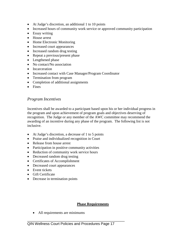- At Judge's discretion, an additional 1 to 10 points
- Increased hours of community work service or approved community participation
- Essay writing
- House arrest
- Home Electronic Monitoring
- Increased court appearances
- Increased random drug testing
- Repeat a previous/present phase
- Lengthened phase
- No contact/No association
- Incarceration
- Increased contact with Case Manager/Program Coordinator
- Termination from program
- Completion of additional assignments
- Fines

## <span id="page-19-0"></span>*Program Incentives*

Incentives shall be awarded to a participant based upon his or her individual progress in the program and upon achievement of program goals and objectives deserving of recognition. The Judge or any member of the AWC committee may recommend the awarding of an incentive during any phase of the program. The following list is not inclusive.

- At Judge's discretion, a decrease of 1 to 5 points
- Praise and individualized recognition in Court
- Release from house arrest
- Participation in positive community activities
- Reduction of community work service hours
- Decreased random drug testing
- Certificates of Accomplishment
- Decreased court appearances
- Event tickets
- Gift Certificate
- Decrease in termination points

### **Phase Requirements**

<span id="page-19-1"></span>• All requirements are minimums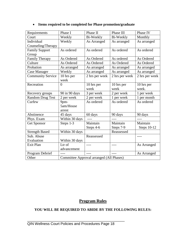| Requirements             | Phase I        | Phase II                                 | Phase III      | Phase IV           |
|--------------------------|----------------|------------------------------------------|----------------|--------------------|
| Court                    | Weekly         | Bi-Weekly                                | Bi-Weekly      | Monthly            |
| Individual               | Weekly         | As Arranged                              | As arranged    | As arranged        |
| Counseling/Therapy       |                |                                          |                |                    |
| <b>Family Support</b>    | As ordered     | As ordered                               | As ordered     | As ordered         |
| Group                    |                |                                          |                |                    |
| Family Therapy           | As Ordered     | As Ordered                               | As ordered     | As Ordered         |
| Culture                  | As Ordered     | As Ordered                               | As Ordered     | As Ordered         |
| Probation                | As arranged    | As arranged                              | As arranged    | As arranged        |
| Case Manager             | Weekly         | As arranged                              | As arranged    | As arranged        |
| <b>Community Service</b> | 10 hrs per     | 2 hrs per week                           | 2 hrs per week | 2 hrs per week     |
|                          | week           |                                          |                |                    |
| Recreation               | $\Omega$       | 10 hrs per                               | 10 hrs per     | 10 hrs per         |
|                          |                | week                                     | week           | week.              |
| Recovery groups          | 90 in 90 days  | 3 per week                               | 2 per week     | 1 per week         |
| <b>Random Drug Test</b>  | 2 per week     | 2 per week                               | 1 per week     | 1 per month        |
| Curfew                   | 9pm-           | As ordered                               | As ordered     | As ordered         |
|                          | 5am/House      |                                          |                |                    |
|                          | arrest         |                                          |                |                    |
| Abstinence               | 45 days        | 60 days                                  | 90 days        | 90 days            |
| Phys. Exam               | Within 30 days |                                          | $---$          | $--- -$            |
| Get Sponsor              | Steps 1-3      | Maintain                                 | Maintain       | Maintain           |
|                          |                | Steps 4-6                                | Steps 7-9      | <b>Steps 10-12</b> |
| <b>Strength Based</b>    | Within 30 days |                                          | Reassessed     |                    |
| Sub. Abuse               |                | Reassessed                               |                | $  -$              |
| Evaluation               | Within 30 days |                                          |                |                    |
| Exit Plan                | Ltr of         |                                          | $- - - -$      | As Arranged        |
|                          | advancement    |                                          |                |                    |
| Program Debrief          |                |                                          |                | As Arranged        |
| Other                    |                | Committee Approval arranged (All Phases) |                |                    |

## • **Items required to be completed for Phase promotion/graduate**

## **Program Rules**

#### <span id="page-20-0"></span>**YOU WILL BE REQUIRED TO ABIDE BY THE FOLLOWING RULES:**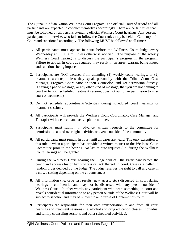The Quinault Indian Nation Wellness Court Program is an official Court of record and all participants are expected to conduct themselves accordingly. There are certain rules that must be followed by all persons attending official Wellness Court hearings. Any person, participant or otherwise, who fails to follow the Court rules may be held in Contempt of Court and sanctioned accordingly. The following MUST be followed at all times:

- **1.** All participants must appear in court before the Wellness Court Judge every Wednesday at 11:00 a.m. unless otherwise notified. The purpose of the weekly Wellness Court hearing is to discuss the participant's progress in the program. Failure to appear in court as required may result in an arrest warrant being issued and sanctions being imposed.
- **2.** Participants are NOT excused from attending (1) weekly court hearings, or (2) treatment sessions, unless they speak personally with the Tribal Court Case Manager, Program Coordinator or their Counselor, and get permission directly. (Leaving a phone message, or any other kind of message, that you are not coming to court or to your scheduled treatment session, does not authorize permission to miss court or treatment.)
- **3.** Do not schedule appointments/activities during scheduled court hearings or treatment sessions.
- **4.** All participants will provide the Wellness Court Coordinator, Case Manager and Therapist with a current and active phone number.
- **5.** Participants must submit, in advance, written requests to the committee for permission to attend overnight activities or events outside of the community.
- **6.** All participants must remain in court until all cases are heard. The only exception to this rule is when a participant has provided a written request to the Wellness Court Committee prior to the hearing. No last minute requests (i.e. during the Wellness Court hearing) will be granted.
- **7.** During the Wellness Court hearing the Judge will call the Participant before the bench and address his or her progress or lack thereof in court. Cases are called in random order decided by the Judge. The Judge reserves the right to call any case in a closed setting depending on the circumstances.
- **8.** All information (i.e. drug test results, new arrests etc.) discussed in court during hearings is confidential and may not be discussed with any person outside of Wellness Court. In other words, any participant who hears something in court and reveals confidential information to any person outside of the Wellness Court will be subject to sanction and may be subject to an offense of Contempt of Court.
- **9.** Participants are responsible for their own transportation to and from all court hearings and treatment sessions (i.e. alcohol and drug education classes, individual and family counseling sessions and other scheduled activities).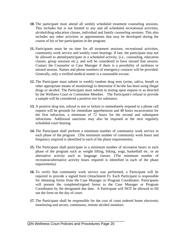- **10.** The participant must attend all weekly scheduled treatment counseling sessions. This includes but is not limited to any and all scheduled recreational activities, alcohol/drug education classes, individual and family counseling sessions. This also includes any other activities or appointments that may be developed during the course of his or her participation in the program.
- **11.** Participants must be on time for all treatment sessions, recreational activities, community work service and weekly court hearings. If late, the participant may not be allowed to attend/participate in a scheduled activity, (i.e., counseling, education classes, group sessions etc.), and will be considered to have missed that session. Contact the Counselor or Case Manager if there is a possibility of tardiness or missed session. Names and phone numbers of emergency contacts will be provided. Generally, only a verified medical matter is a reasonable excuse.
- **12.** The Participant must submit to weekly random drug tests (urine, saliva, breath or other appropriate means of monitoring) to determine if he/she has been using illegal drugs or alcohol. The Participant must submit to testing upon request or as directed by the Wellness Court or Committee Member. The Participant's refusal to provide a sample will be considered a positive test for substance.
- **13.** A positive drug test, refusal to test or failure to immediately respond to a phone call request will be grounds for immediate apprehension and 48 hours incarceration for the first infraction, a minimum of 72 hours for the second and subsequent infractions. Additional sanctions may also be imposed at the next regularly scheduled court hearing.
- **14.** The Participant shall perform a minimum number of community work service in each phase of the program. (The minimum number of community work hours and frequency required is identified in each of the phase requirements).
- **15.** The Participant shall participate in a minimum number of recreation hours in each phase of the program such as weight lifting, biking, yoga, basketball etc. or an alternative activity such as language classes. (The minimum number of recreation/alternative activity hours required is identified in each of the phase requirements).
- **16.** To verify that community work service was performed, a Participant will be required to provide a signed form (Attachment F). Each Participant is responsible for obtaining forms from the Case Manager or Program Coordinator. Participants will present the completed/signed forms to the Case Manager or Program Coordinator by the designated due date. A Participant will NOT be allowed to fill out the form on the day of court.
- **17.** The Participant shall be responsible for the cost of court ordered home electronic monitoring and secure, continuous, remote alcohol monitors.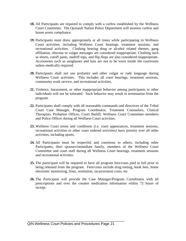- **18.** All Participants are required to comply with a curfew established by the Wellness Court Committee. The Quinault Nation Police Department will monitor curfew and house arrest compliance.
- **19.** Participants must dress appropriately at all times while participating in Wellness Court activities, including Wellness Court hearings, treatment sessions, and recreational activities. Clothing bearing drug or alcohol related themes, gang affiliation, obscene or vulgar messages are considered inappropriate. Clothing such as shorts, cutoff pants, midriff tops, and flip-flops are also considered inappropriate. Accessories such as sunglasses and hats are not to be worn inside the courtroom unless medically required.
- **20.** Participants shall not use profanity and other vulgar or rude language during Wellness Court activities. This includes all court hearings, treatment sessions, community work service, and recreational activities.
- **21.** Violence, harassment, or other inappropriate behavior among participants or other individuals will not be tolerated. Such behavior may result in termination from the program.
- **22.** Participants shall comply with all reasonable commands and directives of the Tribal Court Case Manager, Program Coordinator, Treatment Counselors, Clinical Therapists, Probation Officer, Court Bailiff, Wellness Court Committee members and Police Officer during all Wellness Court activities.
- **23.** Wellness Court terms and conditions (i.e. court appearances, treatment sessions, recreational activities or other court ordered activities) have priority over all other activities, including sports.
- **24.** All Participants must be respectful and courteous to others, including other Participants, their spouses/immediate family, members of the Wellness Court Committee and court staff during all Wellness Court hearings, treatment sessions and recreational activities.
- **25.** The participant will be required to have all program fees/costs paid in full prior to being released from the program. Fees/costs include drug testing, book fees, home electronic monitoring, fines, restitution, incarceration costs, etc.
- **26.** The Participant will provide the Case Manager/Program Coordinator with all prescriptions and over the counter medication information within 72 hours of receipt.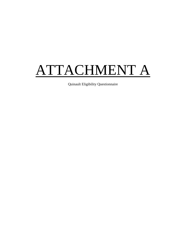## <span id="page-24-0"></span>ATTACHMENT A

Quinault Eligibility Questionnaire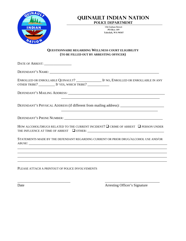

## **QUINAULT INDIAN NATION POLICE DEPARTMEMT**

**136 Cuitan Street PO Box 189 Taholah, WA 98587**

\_\_\_\_\_\_\_\_\_\_\_\_\_\_\_\_\_\_\_\_\_\_\_\_\_\_\_\_\_\_\_\_\_\_\_\_\_\_\_\_\_\_\_\_\_\_\_\_\_\_\_\_\_\_

\_\_\_\_\_\_\_\_\_\_\_\_\_\_\_\_\_\_\_\_\_\_\_\_\_\_\_\_\_\_\_\_\_\_\_\_\_\_\_\_\_\_\_\_\_\_\_\_\_\_\_\_\_

#### **QUESTIONNAIRE REGARDING WELLNESS COURT ELIGIBILITY (TO BE FILLED OUT BY ARRESTING OFFICER)**

DATE OF ARREST: \_\_\_\_\_\_\_\_\_\_\_\_\_\_\_\_\_\_

DEFENDANT'S NAME: \_\_\_\_\_\_\_\_\_\_\_\_\_\_\_\_\_\_\_\_\_\_\_\_\_\_\_\_\_\_\_\_\_\_\_\_\_\_\_\_\_\_\_\_\_\_\_\_\_\_\_\_\_\_\_\_\_\_\_\_

ENROLLED OR ENROLLABLE QUINAULT? \_\_\_\_\_\_\_\_\_\_\_\_\_\_ IF NO, ENROLLED OR ENROLLABLE IN ANY OTHER TRIBE? \_\_\_\_\_\_\_\_\_\_ IF YES, WHICH TRIBE? \_\_\_\_\_\_\_\_\_\_\_\_\_\_

DEFENDANT'S MAILING ADDRESS:

DEFENDANT'S PHYSICAL ADDRESS (if different from mailing address): \_\_\_\_\_\_\_\_\_\_\_\_\_\_\_\_\_\_\_\_\_\_

DEFENDANT'S PHONE NUMBER:

HOW ALCOHOL/DRUGS RELATED TO THE CURRENT INCIDENT?  $\square$  CRIME OF ARREST  $\square$  PERSON UNDER THE INFLUENCE AT TIME OF ARREST  $\Box$  OTHER:

STATEMENTS MADE BY THE DEFENDANT REGARDING CURRENT OR PRIOR DRUG/ALCOHOL USE AND/OR ABUSE: \_\_\_\_\_\_\_\_\_\_\_\_\_\_\_\_\_\_\_\_\_\_\_\_\_\_\_\_\_\_\_\_\_\_\_\_\_\_\_\_\_\_\_\_\_\_\_\_\_\_\_\_\_\_\_\_\_\_\_\_\_\_\_\_\_\_\_\_\_\_\_\_\_\_\_\_

\_\_\_\_\_\_\_\_\_\_\_\_\_\_\_\_\_\_\_\_\_\_\_\_\_\_\_\_\_ \_\_\_\_\_\_\_\_\_\_\_\_\_\_\_\_\_\_\_\_\_\_\_\_\_\_\_\_\_\_

\_\_\_\_\_\_\_\_\_\_\_\_\_\_\_\_\_\_\_\_\_\_\_\_\_\_\_\_\_\_\_\_\_\_\_\_\_\_\_\_\_\_\_\_\_\_\_\_\_\_\_\_\_\_\_\_\_\_\_\_\_\_\_\_\_\_\_\_\_\_\_\_\_\_\_\_\_\_\_\_\_\_ \_\_\_\_\_\_\_\_\_\_\_\_\_\_\_\_\_\_\_\_\_\_\_\_\_\_\_\_\_\_\_\_\_\_\_\_\_\_\_\_\_\_\_\_\_\_\_\_\_\_\_\_\_\_\_\_\_\_\_\_\_\_\_\_\_\_\_\_\_\_\_\_\_\_\_\_\_\_\_\_\_\_ \_\_\_\_\_\_\_\_\_\_\_\_\_\_\_\_\_\_\_\_\_\_\_\_\_\_\_\_\_\_\_\_\_\_\_\_\_\_\_\_\_\_\_\_\_\_\_\_\_\_\_\_\_\_\_\_\_\_\_\_\_\_\_\_\_\_\_\_\_\_\_\_\_\_\_\_\_\_\_\_\_\_ \_\_\_\_\_\_\_\_\_\_\_\_\_\_\_\_\_\_\_\_\_\_\_\_\_\_\_\_\_\_\_\_\_\_\_\_\_\_\_\_\_\_\_\_\_\_\_\_\_\_\_\_\_\_\_\_\_\_\_\_\_\_\_\_\_\_\_\_\_\_\_\_\_\_\_\_\_\_\_\_\_\_

PLEASE ATTACH A PRINTOUT OF POLICE INVOLVEMENTS

Date **Date** Arresting Officer's Signature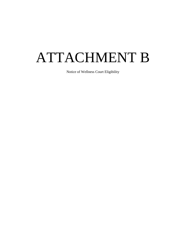## <span id="page-26-0"></span>ATTACHMENT B

Notice of Wellness Court Eligibility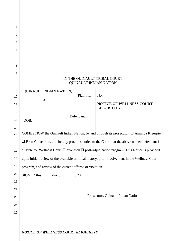| 1                   |                                                                                                              |                                                       |
|---------------------|--------------------------------------------------------------------------------------------------------------|-------------------------------------------------------|
| $\overline{2}$      |                                                                                                              |                                                       |
| 3                   |                                                                                                              |                                                       |
| 4                   |                                                                                                              |                                                       |
| 5                   |                                                                                                              |                                                       |
| 6                   |                                                                                                              |                                                       |
| $\overline{7}$<br>8 | IN THE QUINAULT TRIBAL COURT<br><b>QUINAULT INDIAN NATION</b>                                                |                                                       |
| 9                   | QUINAULT INDIAN NATION,                                                                                      |                                                       |
| 10                  | Plaintiff,<br>VS.                                                                                            | No.:                                                  |
| 11                  |                                                                                                              | <b>NOTICE OF WELLNESS COURT</b><br><b>ELIGIBILITY</b> |
| 12                  | Defendant.                                                                                                   |                                                       |
| 13                  | DOB:                                                                                                         |                                                       |
| 14                  |                                                                                                              |                                                       |
| 15                  | COMES NOW the Quinault Indian Nation, by and through its prosecutor, □ Amanda Kleespie                       |                                                       |
| 16                  | $\Box$ Brett Colacurcio, and hereby provides notice to the Court that the above named defendant is           |                                                       |
| 17                  | eligible for Wellness Court $\square$ diversion $\square$ post-adjudication program. This Notice is provided |                                                       |
| 18                  | upon initial review of the available criminal history, prior involvement in the Wellness Court               |                                                       |
| 19                  | program, and review of the current offense or violation.                                                     |                                                       |
| 20                  | SIGNED this $\_\_\_\_$ day of $\_\_\_\_\_$ , 20 $\_\_\_\_\$ .                                                |                                                       |
| 21                  |                                                                                                              |                                                       |
| 22                  |                                                                                                              |                                                       |
| 23                  |                                                                                                              | Prosecutor, Quinault Indian Nation                    |
| 24                  |                                                                                                              |                                                       |
| 25                  |                                                                                                              |                                                       |
|                     |                                                                                                              |                                                       |
|                     | NOTICE OF WELLNESS COURT ELIGIBILITY                                                                         |                                                       |

Ш

Н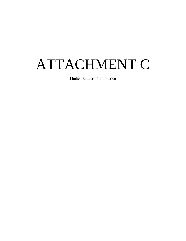# <span id="page-28-0"></span>ATTACHMENT C

Limited Release of Information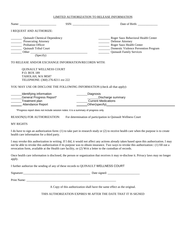#### LIMITED AUTHORIZATION TO RELEASE INFORMATION

|                                                                                                                                                                                                                                                                                              |                                                               | Date of Birth:                                                                                                                                                 |
|----------------------------------------------------------------------------------------------------------------------------------------------------------------------------------------------------------------------------------------------------------------------------------------------|---------------------------------------------------------------|----------------------------------------------------------------------------------------------------------------------------------------------------------------|
| I REQUEST AND AUTHORIZE:                                                                                                                                                                                                                                                                     |                                                               |                                                                                                                                                                |
| <b>Quinault Chemical Dependency</b><br><b>Exercise Prosecuting Attorney</b><br>Probation Officer<br>Quinault Tribal Court<br>(Specify)                                                                                                                                                       |                                                               | Roger Saux Behavioral Health Center<br>Defense Attorney<br>Roger Saux Health Center<br>Domestic Violence Prevention Program<br><b>Quinault Family Services</b> |
| TO RELEASE AND/OR EXCHANGE INFORMATION/RECORDS WITH:                                                                                                                                                                                                                                         |                                                               |                                                                                                                                                                |
| <b>QUINAULT WELLNESS COURT</b><br>P.O. BOX 189<br>TAHOLAH, WA 98587<br>TELEPHONE: (360) 276-8211 ext 222<br>YOU MAY USE OR DISCLOSE THE FOLLOWING INFORMATION (check all that apply):<br>__Identifying information<br><b>Ceneral Progress Report*</b><br>Treatment plan<br>Attendance Report | Diagnosis<br>Discharge summary<br><b>Current Medications</b>  |                                                                                                                                                                |
| *Progress report does not include session notes: it is a summary of progress only.                                                                                                                                                                                                           |                                                               |                                                                                                                                                                |
| REASON(S) FOR AUTHORIZATION:                                                                                                                                                                                                                                                                 | For determination of participation in Quinault Wellness Court |                                                                                                                                                                |
| <b>MY RIGHTS</b>                                                                                                                                                                                                                                                                             |                                                               |                                                                                                                                                                |
| health care information for a third party.                                                                                                                                                                                                                                                   |                                                               | I do have to sign an authorization form: (1) to take part in research study or (2) to receive health care when the purpose is to create                        |

I may revoke this authorization in writing. If I did, it would not affect any actions already taken based upon this authorization. I may not be able to revoke this authorization if its purpose was to obtain insurance. Two ways to revoke this authorization:: (1) fill out a revocation form, available at the Health care facility, or (2) Writ a letter to the custodian of records.

Once health care information is disclosed, the person or organization that receives it may re-disclose it. Privacy laws may no longer apply.

I further authorize the sending of any of these records to QUINAULT WELLNESS COURT

Signature:\_\_\_\_\_\_\_\_\_\_\_\_\_\_\_\_\_\_\_\_\_\_\_\_\_\_\_\_\_\_\_\_\_\_\_\_\_\_\_\_\_\_\_\_ Date signed: \_\_\_\_\_\_\_\_\_\_\_\_\_\_\_\_\_\_\_\_\_

Print Name: \_\_\_\_\_\_\_\_\_\_\_\_\_\_\_\_\_\_\_\_\_\_\_\_\_\_\_\_\_\_\_\_\_\_\_\_\_\_\_\_\_\_\_\_\_\_\_\_\_\_\_\_\_\_\_\_\_\_\_

A Copy of this authorization shall have the same effect as the original.

THIS AUTHORIZATION EXPIRES 90 AFTER THE DATE THAT IT IS SIGNED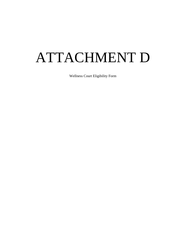# <span id="page-30-0"></span>ATTACHMENT D

Wellness Court Eligibility Form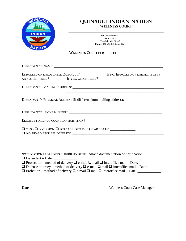

## **QUINAULT INDIAN NATION WELLNESS COURT**

**136 Cuitan Street PO Box 189 Taholah, WA 98587 Phone: 360-276-8215 ext. 222**

#### **WELLNESS COURT ELIGIBILITY**

DEFENDANT'S NAME: ENROLLED OR ENROLLABLE QUINAULT? \_\_\_\_\_\_\_\_\_\_\_\_\_\_ IF NO, ENROLLED OR ENROLLABLE IN ANY OTHER TRIBE? \_\_\_\_\_\_\_\_\_\_ IF YES, WHICH TRIBE? \_\_\_\_\_\_\_\_\_\_\_\_\_ DEFENDANT'S MAILING ADDRESS: \_\_\_\_\_\_\_\_\_\_\_\_\_\_\_\_\_\_\_\_\_\_\_\_\_\_\_\_\_\_\_\_\_\_\_\_\_\_\_\_\_\_\_\_\_\_\_\_\_\_ \_\_\_\_\_\_\_\_\_\_\_\_\_\_\_\_\_\_\_\_\_\_\_\_\_\_\_\_\_\_\_\_\_\_\_\_\_\_\_\_\_\_\_\_\_\_\_\_\_\_\_\_\_\_ DEFENDANT'S PHYSICAL ADDRESS (if different from mailing address): \_\_\_\_\_\_\_\_\_\_\_\_\_\_\_\_\_\_\_\_\_\_\_\_\_\_\_\_\_\_\_\_\_\_\_\_\_\_\_\_\_\_\_\_\_\_\_\_\_\_\_\_\_ DEFENDANT'S PHONE NUMBER: \_\_\_\_\_\_\_\_\_\_\_\_\_\_\_\_\_\_\_\_\_\_\_\_\_\_\_\_\_\_\_\_\_\_\_\_\_\_\_\_\_\_\_\_\_\_\_\_\_\_\_ ELIGIBLE FOR DRUG COURT PARTICIPATION? YES, ( DIVERSION POST ADJUDICATION) START DATE: \_\_\_\_\_\_\_\_\_\_\_\_\_\_  $\square$  No, reason for ineligibility:  $\square$ \_\_\_\_\_\_\_\_\_\_\_\_\_\_\_\_\_\_\_\_\_\_\_\_\_\_\_\_\_\_\_\_\_\_\_\_\_\_\_\_\_\_\_\_\_\_\_\_\_\_\_\_\_\_\_\_\_\_\_\_\_\_\_\_\_\_\_\_\_\_\_\_\_\_\_\_\_\_ \_\_\_\_\_\_\_\_\_\_\_\_\_\_\_\_\_\_\_\_\_\_\_\_\_\_\_\_\_\_\_\_\_\_\_\_\_\_\_\_\_\_\_\_\_\_\_\_\_\_\_\_\_\_\_\_\_\_\_\_\_\_\_\_\_\_\_\_\_\_\_\_\_\_\_\_\_\_ \_\_\_\_\_\_\_\_\_\_\_\_\_\_\_\_\_\_\_\_\_\_\_\_\_\_\_\_\_\_\_\_\_\_\_\_\_\_\_\_\_\_\_\_\_\_\_\_\_\_\_\_\_\_\_\_\_\_\_\_\_\_\_\_\_\_\_\_\_\_\_\_\_\_\_\_\_\_

NOTIFICATION REGARDING ELIGIBILITY SENT? Attach documentation of notification  $\Box$  Defendant – Date:

 $\Box$  Prosecutor – method of delivery  $\Box$  e-mail  $\Box$  mail  $\Box$  interoffice mail – Date:

Defense attorney – method of delivery e-mail mail interoffice mail – Date: \_\_\_\_\_\_\_\_

Probation – method of delivery e-mail mail interoffice mail – Date: \_\_\_\_\_\_\_\_\_\_\_\_\_

 $\overline{\phantom{a}}$  , and the contract of the contract of the contract of the contract of the contract of the contract of the contract of the contract of the contract of the contract of the contract of the contract of the contrac Date Wellness Court Case Manager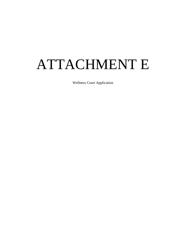## <span id="page-32-0"></span>ATTACHMENT E

Wellness Court Application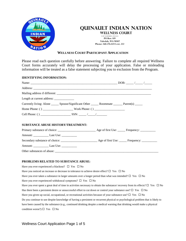

## **QUINAULT INDIAN NATION**

**136 Cuitan Street WELLNESS COURT**

**PO Box 189 Taholah, WA 98587 Phone: 360-276-8215 ext. 222**

#### **WELLNESS COURT PARTICIPANT APPLICATION**

Please read each question carefully before answering. Failure to complete all required Wellness Court forms accurately will delay the processing of your application. False or misleading information will be treated as a false statement subjecting you to exclusion from the Program.

#### **IDENTIFYING INFORMATION:**

|                                           | Currently living: Alone _______ Spouse/Significant Other _______ Roommate _______ Parent(s) ______ |
|-------------------------------------------|----------------------------------------------------------------------------------------------------|
|                                           |                                                                                                    |
|                                           |                                                                                                    |
|                                           |                                                                                                    |
| <b>SUBSTANCE ABUSE HISTORY/TREATMENT:</b> |                                                                                                    |
|                                           |                                                                                                    |
|                                           |                                                                                                    |
|                                           |                                                                                                    |

#### **PROBLEMS RELATED TO SUBSTANCE ABUSE:**

Have you ever experienced a blackout?  $\Box$  Yes  $\Box$  No Have you noticed an increase or decrease in tolerance to achieve desire effect?  $\Box$  Yes  $\Box$  No Have you ever taken a substance in larger amounts over a longer period than what was intended?  $\Box$  Yes  $\Box$  No Have you ever experienced withdrawal symptoms?  $\Box$  Yes  $\Box$  No Have you ever spent a great deal of time in activities necessary to obtain the substance/ recovery from its effects?  $\Box$  Yes  $\Box$  No Has there been a persistent desire or unsuccessful effort to cut down or control your substance use?  $\Box$  Yes  $\Box$  No Have you given up social, occupational, or recreational activities because of your substance use?  $\Box$  Yes  $\Box$  No Do you continue to use despite knowledge of having a persistent or recurrent physical or psychological problem that is likely to have been caused by the substance (e.g., continued drinking despite a medical warning that drinking would make a physical condition worse?)  $\Box$  Yes  $\Box$  No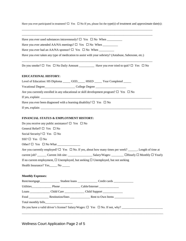Have you ever participated in treatment?  $\Box$  Yes  $\Box$  No If yes, please list the type(s) of treatment and approximate date(s):

\_\_\_\_\_\_\_\_\_\_\_\_\_\_\_\_\_\_\_\_\_\_\_\_\_\_\_\_\_\_\_\_\_\_\_\_\_\_\_\_\_\_\_\_\_\_\_\_\_\_\_\_\_\_\_\_\_\_\_\_\_\_\_\_\_\_\_\_\_\_\_\_\_\_\_\_\_\_\_\_\_\_\_\_\_\_

|                                                                                                                                                                           | Have you ever used substances intravenously? $\square$ Yes $\square$ No When ______________                |                                                                                                                                                                                                                                                                                                                                     |
|---------------------------------------------------------------------------------------------------------------------------------------------------------------------------|------------------------------------------------------------------------------------------------------------|-------------------------------------------------------------------------------------------------------------------------------------------------------------------------------------------------------------------------------------------------------------------------------------------------------------------------------------|
|                                                                                                                                                                           |                                                                                                            |                                                                                                                                                                                                                                                                                                                                     |
|                                                                                                                                                                           |                                                                                                            |                                                                                                                                                                                                                                                                                                                                     |
|                                                                                                                                                                           |                                                                                                            | Have you ever taken any type of medication to assist with your sobriety? (Antabuse, Saboxone, etc.)                                                                                                                                                                                                                                 |
|                                                                                                                                                                           |                                                                                                            |                                                                                                                                                                                                                                                                                                                                     |
| <b>EDUCATIONAL HISTORY:</b>                                                                                                                                               |                                                                                                            |                                                                                                                                                                                                                                                                                                                                     |
|                                                                                                                                                                           |                                                                                                            | Level of Education: HS Diploma _____ GED_____ HSED _____ Year Completed _____                                                                                                                                                                                                                                                       |
|                                                                                                                                                                           |                                                                                                            |                                                                                                                                                                                                                                                                                                                                     |
|                                                                                                                                                                           |                                                                                                            | Are you currently enrolled in any educational or skill development program? $\Box$ Yes $\Box$ No                                                                                                                                                                                                                                    |
|                                                                                                                                                                           | Have you ever been diagnosed with a learning disability? $\square$ Yes $\square$ No                        |                                                                                                                                                                                                                                                                                                                                     |
|                                                                                                                                                                           |                                                                                                            |                                                                                                                                                                                                                                                                                                                                     |
|                                                                                                                                                                           | FINANCIAL STATUS & EMPLOYMENT HISTORY:<br>Do you receive any public assistance? $\square$ Yes $\square$ No |                                                                                                                                                                                                                                                                                                                                     |
|                                                                                                                                                                           |                                                                                                            | Are you currently employed? $\Box$ Yes $\Box$ No. If yes, about how many times per week? ______. Length of time at<br>current job? _______ Current Job site: _____________________ Salary/Wages: ________ □Hourly □ Monthly □ Yearly<br>If no current employment, $\Box$ Unemployed, but seeking $\Box$ Unemployed, but not seeking |
|                                                                                                                                                                           |                                                                                                            |                                                                                                                                                                                                                                                                                                                                     |
|                                                                                                                                                                           |                                                                                                            |                                                                                                                                                                                                                                                                                                                                     |
|                                                                                                                                                                           |                                                                                                            |                                                                                                                                                                                                                                                                                                                                     |
| General Relief? □ Yes □ No<br>Social Security? $\square$ Yes $\square$ No<br>$SSI? \Box Yes \Box No$<br>Health Insurance? Yes______ No ______<br><b>Monthly Expenses:</b> |                                                                                                            |                                                                                                                                                                                                                                                                                                                                     |
|                                                                                                                                                                           |                                                                                                            | Loans ____________________Child Care ___________________Child Support ______________________________                                                                                                                                                                                                                                |

\_\_\_\_\_\_\_\_\_\_\_\_\_\_\_\_\_\_\_\_\_\_\_\_\_\_\_\_\_\_\_\_\_\_\_\_\_\_\_\_\_\_\_\_\_\_\_\_\_\_\_\_\_\_\_\_\_\_\_\_\_\_\_\_\_\_\_\_\_\_\_\_\_\_\_\_\_\_\_\_\_\_\_\_\_\_\_\_\_\_\_\_\_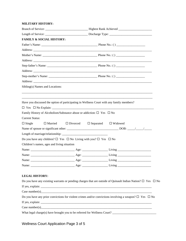#### **MILITARY HISTORY:**

| <b>FAMILY &amp; SOCIAL HISTORY:</b>                                                              |                                                 |                                                                                                                                                                                                                                                                                                                                         |  |
|--------------------------------------------------------------------------------------------------|-------------------------------------------------|-----------------------------------------------------------------------------------------------------------------------------------------------------------------------------------------------------------------------------------------------------------------------------------------------------------------------------------------|--|
|                                                                                                  |                                                 |                                                                                                                                                                                                                                                                                                                                         |  |
|                                                                                                  |                                                 |                                                                                                                                                                                                                                                                                                                                         |  |
|                                                                                                  |                                                 |                                                                                                                                                                                                                                                                                                                                         |  |
|                                                                                                  |                                                 |                                                                                                                                                                                                                                                                                                                                         |  |
|                                                                                                  |                                                 |                                                                                                                                                                                                                                                                                                                                         |  |
|                                                                                                  |                                                 |                                                                                                                                                                                                                                                                                                                                         |  |
|                                                                                                  |                                                 |                                                                                                                                                                                                                                                                                                                                         |  |
|                                                                                                  |                                                 |                                                                                                                                                                                                                                                                                                                                         |  |
| Sibling(s) Names and Locations:                                                                  |                                                 |                                                                                                                                                                                                                                                                                                                                         |  |
|                                                                                                  |                                                 |                                                                                                                                                                                                                                                                                                                                         |  |
| Have you discussed the option of participating in Wellness Court with any family members?        |                                                 |                                                                                                                                                                                                                                                                                                                                         |  |
|                                                                                                  |                                                 |                                                                                                                                                                                                                                                                                                                                         |  |
| Family History of Alcoholism/Substance abuse or addiction: $\Box$ Yes $\Box$ No                  |                                                 |                                                                                                                                                                                                                                                                                                                                         |  |
| <b>Current Status:</b>                                                                           |                                                 |                                                                                                                                                                                                                                                                                                                                         |  |
| $\Box$ Single<br>$\Box$ Married                                                                  | $\Box$ Divorced $\Box$ Separated $\Box$ Widowed |                                                                                                                                                                                                                                                                                                                                         |  |
|                                                                                                  |                                                 |                                                                                                                                                                                                                                                                                                                                         |  |
|                                                                                                  |                                                 |                                                                                                                                                                                                                                                                                                                                         |  |
| Do you have any children? $\square$ Yes $\square$ No Living with you? $\square$ Yes $\square$ No |                                                 |                                                                                                                                                                                                                                                                                                                                         |  |
| Children's names, ages and living situation                                                      |                                                 |                                                                                                                                                                                                                                                                                                                                         |  |
|                                                                                                  |                                                 |                                                                                                                                                                                                                                                                                                                                         |  |
|                                                                                                  |                                                 |                                                                                                                                                                                                                                                                                                                                         |  |
|                                                                                                  |                                                 |                                                                                                                                                                                                                                                                                                                                         |  |
|                                                                                                  |                                                 |                                                                                                                                                                                                                                                                                                                                         |  |
| <b>LEGAL HISTORY:</b>                                                                            |                                                 |                                                                                                                                                                                                                                                                                                                                         |  |
|                                                                                                  |                                                 | Do you have any existing warrants or pending charges that are outside of Quinault Indian Nation? $\square$ Yes $\square$ No                                                                                                                                                                                                             |  |
|                                                                                                  |                                                 |                                                                                                                                                                                                                                                                                                                                         |  |
|                                                                                                  |                                                 | Case number(s) $\frac{1}{2}$ and $\frac{1}{2}$ are number(s) $\frac{1}{2}$ and $\frac{1}{2}$ are number(s) $\frac{1}{2}$ and $\frac{1}{2}$ are number(s) $\frac{1}{2}$ and $\frac{1}{2}$ are number(s) $\frac{1}{2}$ and $\frac{1}{2}$ are number(s) $\frac{1}{2}$ and $\$                                                              |  |
|                                                                                                  |                                                 |                                                                                                                                                                                                                                                                                                                                         |  |
|                                                                                                  |                                                 | Do you have any prior convictions for violent crimes and/or convictions involving a weapon? $\Box$ Yes $\Box$ No                                                                                                                                                                                                                        |  |
|                                                                                                  |                                                 |                                                                                                                                                                                                                                                                                                                                         |  |
|                                                                                                  |                                                 | Case number(s) $\qquad \qquad$ $\qquad$ $\qquad$ $\qquad$ $\qquad$ $\qquad$ $\qquad$ $\qquad$ $\qquad$ $\qquad$ $\qquad$ $\qquad$ $\qquad$ $\qquad$ $\qquad$ $\qquad$ $\qquad$ $\qquad$ $\qquad$ $\qquad$ $\qquad$ $\qquad$ $\qquad$ $\qquad$ $\qquad$ $\qquad$ $\qquad$ $\qquad$ $\qquad$ $\qquad$ $\qquad$ $\qquad$ $\qquad$ $\qquad$ |  |

Wellness Court Application Page 3 of 5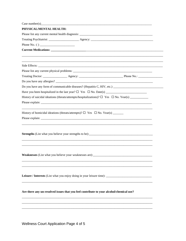| History of homicidal ideations (threats/attempts)? $\Box$ Yes $\Box$ No. Year(s) _______<br>Leisure / Interests (List what you enjoy doing in your leisure time): _____________________________<br>Are there any un-resolved issues that you feel contribute to your alcohol/chemical use? | Case number(s) $\qquad \qquad$ $\qquad \qquad$ $\qquad \qquad$ $\qquad \qquad$ $\qquad \qquad$ $\qquad \qquad$ $\qquad \qquad$ $\qquad \qquad$ $\qquad \qquad$ $\qquad \qquad$ $\qquad \qquad$ $\qquad \qquad$ $\qquad \qquad$ $\qquad \qquad$ $\qquad \qquad$ $\qquad \qquad$ $\qquad \qquad$ $\qquad \qquad$ $\qquad \qquad$ $\qquad \qquad$ $\qquad \qquad$ $\qquad \qquad$ $\qquad \qquad$ |  |
|--------------------------------------------------------------------------------------------------------------------------------------------------------------------------------------------------------------------------------------------------------------------------------------------|------------------------------------------------------------------------------------------------------------------------------------------------------------------------------------------------------------------------------------------------------------------------------------------------------------------------------------------------------------------------------------------------|--|
|                                                                                                                                                                                                                                                                                            | PHYSICAL/MENTAL HEALTH:                                                                                                                                                                                                                                                                                                                                                                        |  |
|                                                                                                                                                                                                                                                                                            |                                                                                                                                                                                                                                                                                                                                                                                                |  |
|                                                                                                                                                                                                                                                                                            |                                                                                                                                                                                                                                                                                                                                                                                                |  |
|                                                                                                                                                                                                                                                                                            |                                                                                                                                                                                                                                                                                                                                                                                                |  |
|                                                                                                                                                                                                                                                                                            |                                                                                                                                                                                                                                                                                                                                                                                                |  |
|                                                                                                                                                                                                                                                                                            |                                                                                                                                                                                                                                                                                                                                                                                                |  |
|                                                                                                                                                                                                                                                                                            |                                                                                                                                                                                                                                                                                                                                                                                                |  |
|                                                                                                                                                                                                                                                                                            |                                                                                                                                                                                                                                                                                                                                                                                                |  |
|                                                                                                                                                                                                                                                                                            |                                                                                                                                                                                                                                                                                                                                                                                                |  |
|                                                                                                                                                                                                                                                                                            |                                                                                                                                                                                                                                                                                                                                                                                                |  |
|                                                                                                                                                                                                                                                                                            |                                                                                                                                                                                                                                                                                                                                                                                                |  |
|                                                                                                                                                                                                                                                                                            |                                                                                                                                                                                                                                                                                                                                                                                                |  |
|                                                                                                                                                                                                                                                                                            |                                                                                                                                                                                                                                                                                                                                                                                                |  |
|                                                                                                                                                                                                                                                                                            |                                                                                                                                                                                                                                                                                                                                                                                                |  |
|                                                                                                                                                                                                                                                                                            |                                                                                                                                                                                                                                                                                                                                                                                                |  |
|                                                                                                                                                                                                                                                                                            |                                                                                                                                                                                                                                                                                                                                                                                                |  |
|                                                                                                                                                                                                                                                                                            |                                                                                                                                                                                                                                                                                                                                                                                                |  |
|                                                                                                                                                                                                                                                                                            |                                                                                                                                                                                                                                                                                                                                                                                                |  |
|                                                                                                                                                                                                                                                                                            |                                                                                                                                                                                                                                                                                                                                                                                                |  |
|                                                                                                                                                                                                                                                                                            |                                                                                                                                                                                                                                                                                                                                                                                                |  |
|                                                                                                                                                                                                                                                                                            |                                                                                                                                                                                                                                                                                                                                                                                                |  |
|                                                                                                                                                                                                                                                                                            |                                                                                                                                                                                                                                                                                                                                                                                                |  |
|                                                                                                                                                                                                                                                                                            |                                                                                                                                                                                                                                                                                                                                                                                                |  |
|                                                                                                                                                                                                                                                                                            |                                                                                                                                                                                                                                                                                                                                                                                                |  |
|                                                                                                                                                                                                                                                                                            |                                                                                                                                                                                                                                                                                                                                                                                                |  |
|                                                                                                                                                                                                                                                                                            |                                                                                                                                                                                                                                                                                                                                                                                                |  |

Wellness Court Application Page 4 of 5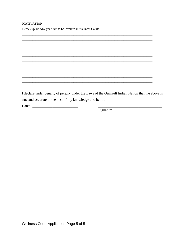#### **MOTIVATION:**

Please explain why you want to be involved in Wellness Court:



I declare under penalty of perjury under the Laws of the Quinault Indian Nation that the above is true and accurate to the best of my knowledge and belief.

Signature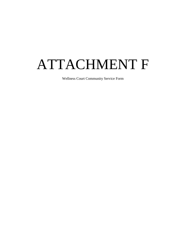## <span id="page-38-0"></span>ATTACHMENT F

Wellness Court Community Service Form